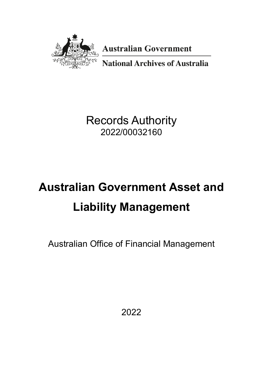

**Australian Government** 

**National Archives of Australia** 

Records Authority 2022/00032160

# **Australian Government Asset and Liability Management**

Australian Office of Financial Management

2022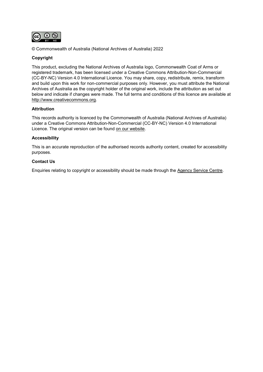

© Commonwealth of Australia (National Archives of Australia) 2022

#### **Copyright**

This product, excluding the National Archives of Australia logo, Commonwealth Coat of Arms or registered trademark, has been licensed under a Creative Commons Attribution-Non-Commercial (CC-BY-NC) Version 4.0 International Licence. You may share, copy, redistribute, remix, transform and build upon this work for non-commercial purposes only. However, you must attribute the National Archives of Australia as the copyright holder of the original work, include the attribution as set out below and indicate if changes were made. The full terms and conditions of this licence are available at [http://www.creativecommons.org.](http://www.creativecommons.org/)

#### **Attribution**

This records authority is licenced by the Commonwealth of Australia (National Archives of Australia) under a Creative Commons Attribution-Non-Commercial (CC-BY-NC) Version 4.0 International Licence. The original version can be found [on our website.](https://www.naa.gov.au/)

#### **Accessibility**

This is an accurate reproduction of the authorised records authority content, created for accessibility purposes.

#### **Contact Us**

Enquiries relating to copyright or accessibility should be made through the [Agency Service Centre.](https://www.naa.gov.au/information-management/agency-service-centre)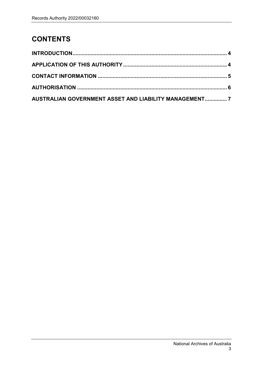# **CONTENTS**

| AUSTRALIAN GOVERNMENT ASSET AND LIABILITY MANAGEMENT7 |  |
|-------------------------------------------------------|--|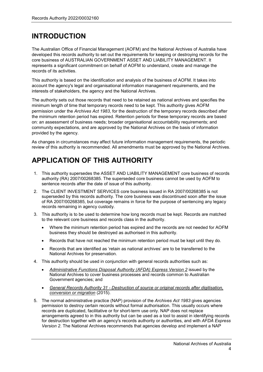## <span id="page-3-0"></span>**INTRODUCTION**

The Australian Office of Financial Management (AOFM) and the National Archives of Australia have developed this records authority to set out the requirements for keeping or destroying records for the core business of AUSTRALIAN GOVERNMENT ASSET AND LIABILITY MANAGEMENT. It represents a significant commitment on behalf of AOFM to understand, create and manage the records of its activities.

This authority is based on the identification and analysis of the business of AOFM. It takes into account the agency's legal and organisational information management requirements, and the interests of stakeholders, the agency and the National Archives.

The authority sets out those records that need to be retained as national archives and specifies the minimum length of time that temporary records need to be kept. This authority gives AOFM permission under the *Archives Act 1983*, for the destruction of the temporary records described after the minimum retention period has expired. Retention periods for these temporary records are based on: an assessment of business needs; broader organisational accountability requirements; and community expectations, and are approved by the National Archives on the basis of information provided by the agency.

As changes in circumstances may affect future information management requirements, the periodic review of this authority is recommended. All amendments must be approved by the National Archives.

# <span id="page-3-1"></span>**APPLICATION OF THIS AUTHORITY**

- 1. This authority supersedes the ASSET AND LIABILITY MANAGEMENT core business of records authority (RA) 2007/00268385. The superseded core business cannot be used by AOFM to sentence records after the date of issue of this authority.
- 2. The CLIENT INVESTMENT SERVICES core business issued in RA 2007/00268385 is not superseded by this records authority. The core business was discontinued soon after the issue of RA 2007/00268385, but coverage remains in force for the purpose of sentencing any legacy records remaining in agency custody.
- 3. This authority is to be used to determine how long records must be kept. Records are matched to the relevant core business and records class in the authority.
	- Where the minimum retention period has expired and the records are not needed for AOFM business they should be destroyed as authorised in this authority.
	- Records that have not reached the minimum retention period must be kept until they do.
	- Records that are identified as 'retain as national archives' are to be transferred to the National Archives for preservation.
- 4. This authority should be used in conjunction with general records authorities such as:
	- *[Administrative Functions Disposal Authority \(AFDA\) Express](https://www.naa.gov.au/information-management/records-authorities/types-records-authorities/afda-express-version-2-functions) Version 2* issued by the National Archives to cover business processes and records common to Australian Government agencies; and
	- *[General Records Authority 31 Destruction of source or original records after digitisation,](https://www.naa.gov.au/information-management/records-authorities/types-records-authorities/general-records-authority-31)  [conversion or migration](https://www.naa.gov.au/information-management/records-authorities/types-records-authorities/general-records-authority-31)* (2015).
- 5. The normal administrative practice (NAP) provision of the *Archives Act 1983* gives agencies permission to destroy certain records without formal authorisation. This usually occurs where records are duplicated, facilitative or for short-term use only. NAP does not replace arrangements agreed to in this authority but can be used as a tool to assist in identifying records for destruction together with an agency's records authority or authorities, and with *AFDA Express Version 2*. The National Archives recommends that agencies develop and implement a NAP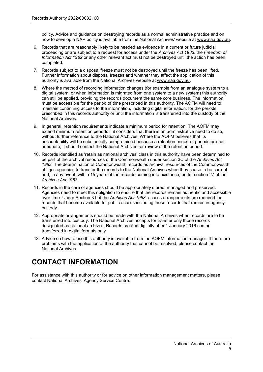policy. Advice and guidance on destroying records as a normal administrative practice and on how to develop a NAP policy is available from the National Archives' website at [www.naa.gov.au.](https://www.naa.gov.au/)

- 6. Records that are reasonably likely to be needed as evidence in a current or future judicial proceeding or are subject to a request for access under the *Archives Act 1983*, the *Freedom of Information Act 1982* or any other relevant act must not be destroyed until the action has been completed.
- 7. Records subject to a disposal freeze must not be destroyed until the freeze has been lifted. Further information about disposal freezes and whether they affect the application of this authority is available from the National Archives website at [www.naa.gov.au.](https://www.naa.gov.au/)
- 8. Where the method of recording information changes (for example from an analogue system to a digital system, or when information is migrated from one system to a new system) this authority can still be applied, providing the records document the same core business. The information must be accessible for the period of time prescribed in this authority. The AOFM will need to maintain continuing access to the information, including digital information, for the periods prescribed in this records authority or until the information is transferred into the custody of the National Archives.
- 9. In general, retention requirements indicate a minimum period for retention. The AOFM may extend minimum retention periods if it considers that there is an administrative need to do so, without further reference to the National Archives. Where the AOFM believes that its accountability will be substantially compromised because a retention period or periods are not adequate, it should contact the National Archives for review of the retention period.
- 10. Records identified as 'retain as national archives' class in this authority have been determined to be part of the archival resources of the Commonwealth under section 3C of the *Archives Act 1983*. The determination of Commonwealth records as archival resources of the Commonwealth obliges agencies to transfer the records to the National Archives when they cease to be current and, in any event, within 15 years of the records coming into existence, under section 27 of the *Archives Act 1983*.
- 11. Records in the care of agencies should be appropriately stored, managed and preserved. Agencies need to meet this obligation to ensure that the records remain authentic and accessible over time. Under Section 31 of the *Archives Act 1983*, access arrangements are required for records that become available for public access including those records that remain in agency custody.
- 12. Appropriate arrangements should be made with the National Archives when records are to be transferred into custody. The National Archives accepts for transfer only those records designated as national archives. Records created digitally after 1 January 2016 can be transferred in digital formats only.
- <span id="page-4-0"></span>13. Advice on how to use this authority is available from the AOFM information manager. If there are problems with the application of the authority that cannot be resolved, please contact the National Archives.

## **CONTACT INFORMATION**

For assistance with this authority or for advice on other information management matters, please contact National Archives' [Agency Service Centre.](https://www.naa.gov.au/information-management/agency-service-centre)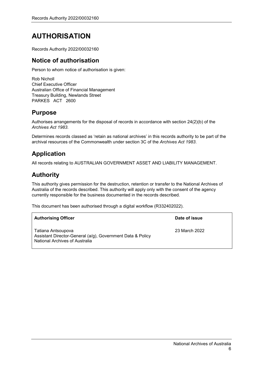# <span id="page-5-0"></span>**AUTHORISATION**

Records Authority 2022/00032160

### **Notice of authorisation**

Person to whom notice of authorisation is given:

Rob Nicholl Chief Executive Officer Australian Office of Financial Management Treasury Building, Newlands Street PARKES ACT 2600

## **Purpose**

Authorises arrangements for the disposal of records in accordance with section 24(2)(b) of the *Archives Act 1983*.

Determines records classed as 'retain as national archives' in this records authority to be part of the archival resources of the Commonwealth under section 3C of the *Archives Act 1983*.

## **Application**

All records relating to AUSTRALIAN GOVERNMENT ASSET AND LIABILITY MANAGEMENT.

## **Authority**

This authority gives permission for the destruction, retention or transfer to the National Archives of Australia of the records described. This authority will apply only with the consent of the agency currently responsible for the business documented in the records described.

This document has been authorised through a digital workflow (R332402022).

| <b>Authorising Officer</b>                                                                                         | Date of issue |
|--------------------------------------------------------------------------------------------------------------------|---------------|
| Tatiana Antsoupova<br>Assistant Director-General (a/g), Government Data & Policy<br>National Archives of Australia | 23 March 2022 |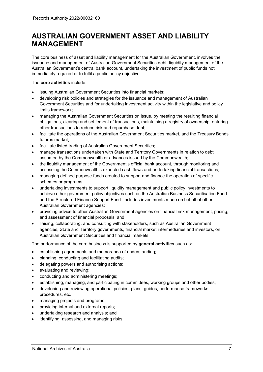<span id="page-6-0"></span>The core business of asset and liability management for the Australian Government, involves the issuance and management of Australian Government Securities debt, liquidity management of the Australian Government's central bank account, undertaking the investment of public funds not immediately required or to fulfil a public policy objective.

The **core activities** include:

- issuing Australian Government Securities into financial markets;
- developing risk policies and strategies for the issuance and management of Australian Government Securities and for undertaking investment activity within the legislative and policy limits framework;
- managing the Australian Government Securities on issue, by meeting the resulting financial obligations, clearing and settlement of transactions, maintaining a registry of ownership, entering other transactions to reduce risk and repurchase debt;
- facilitate the operations of the Australian Government Securities market, and the Treasury Bonds futures market;
- facilitate listed trading of Australian Government Securities;
- manage transactions undertaken with State and Territory Governments in relation to debt assumed by the Commonwealth or advances issued by the Commonwealth;
- the liquidity management of the Government's official bank account, through monitoring and assessing the Commonwealth's expected cash flows and undertaking financial transactions;
- managing defined purpose funds created to support and finance the operation of specific schemes or programs;
- undertaking investments to support liquidity management and public policy investments to achieve other government policy objectives such as the Australian Business Securitisation Fund and the Structured Finance Support Fund. Includes investments made on behalf of other Australian Government agencies;
- providing advice to other Australian Government agencies on financial risk management, pricing, and assessment of financial proposals; and
- liaising, collaborating, and consulting with stakeholders, such as Australian Government agencies, State and Territory governments, financial market intermediaries and investors, on Australian Government Securities and financial markets.

The performance of the core business is supported by **general activities** such as:

- establishing agreements and memoranda of understanding;
- planning, conducting and facilitating audits;
- delegating powers and authorising actions;
- evaluating and reviewing;
- conducting and administering meetings;
- establishing, managing, and participating in committees, working groups and other bodies;
- developing and reviewing operational policies, plans, guides, performance frameworks, procedures, etc.;
- managing projects and programs;
- providing internal and external reports;
- undertaking research and analysis; and
- identifying, assessing, and managing risks.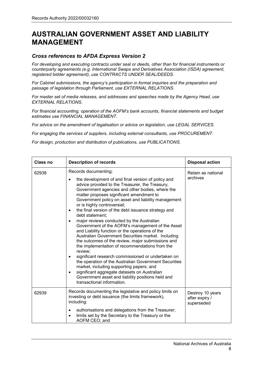#### *Cross references to AFDA Express Version 2*

*For developing and executing* contract*s under seal or deeds, other than for financial instruments or counterparty agreements (e.g. International Swaps and Derivatives Association (ISDA) agreement, registered bidder agreement), use CONTRACTS UNDER SEAL/DEEDS.*

*For Cabinet submissions, the agency's participation in formal inquiries and the preparation and passage of legislation through Parliament, use EXTERNAL RELATIONS.*

*For master set of media releases, and addresses and speeches made by the Agency Head, use EXTERNAL RELATIONS.*

*For financial accounting, operation of the AOFM's bank accounts, financial statements and budget estimates use FINANCIAL MANAGEMENT.*

*For advice on the amendment of legalisation or advice on legislation, use LEGAL SERVICES.*

*For engaging the services of suppliers, including external consultants, use PROCUREMENT.*

*For design, production and distribution of publications, use PUBLICATIONS.*

| Class no | <b>Description of records</b>                                                                                                                                                                                                                                                                                                                                                                                                                                                                                                                                                                                                                                                                                                                                                                                                                                                                                                                                                                                                                              | <b>Disposal action</b>                           |
|----------|------------------------------------------------------------------------------------------------------------------------------------------------------------------------------------------------------------------------------------------------------------------------------------------------------------------------------------------------------------------------------------------------------------------------------------------------------------------------------------------------------------------------------------------------------------------------------------------------------------------------------------------------------------------------------------------------------------------------------------------------------------------------------------------------------------------------------------------------------------------------------------------------------------------------------------------------------------------------------------------------------------------------------------------------------------|--------------------------------------------------|
| 62938    | Records documenting:<br>the development of and final version of policy and<br>advice provided to the Treasurer, the Treasury,<br>Government agencies and other bodies, where the<br>matter proposes significant amendment to<br>Government policy on asset and liability management<br>or is highly controversial;<br>the final version of the debt issuance strategy and<br>$\bullet$<br>debt statement;<br>major reviews conducted by the Australian<br>$\bullet$<br>Government of the AOFM's management of the Asset<br>and Liability function or the operations of the<br>Australian Government Securities market. Including<br>the outcomes of the review, major submissions and<br>the implementation of recommendations from the<br>review;<br>significant research commissioned or undertaken on<br>٠<br>the operation of the Australian Government Securities<br>market, including supporting papers; and<br>significant aggregate datasets on Australian<br>٠<br>Government asset and liability positions held and<br>transactional information. | Retain as national<br>archives                   |
| 62939    | Records documenting the legislative and policy limits on<br>investing or debt issuance (the limits framework),<br>including:<br>authorisations and delegations from the Treasurer;<br>٠<br>limits set by the Secretary to the Treasury or the<br>$\bullet$<br>AOFM CEO; and                                                                                                                                                                                                                                                                                                                                                                                                                                                                                                                                                                                                                                                                                                                                                                                | Destroy 10 years<br>after expiry /<br>superseded |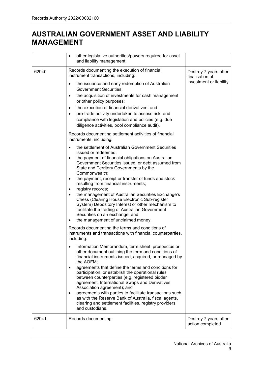|       | other legislative authorities/powers required for asset<br>$\bullet$<br>and liability management.                                                                                                                                                                                                                                                                                                                                                                                                                                                                                                                                                                                                                                          |                                                                     |
|-------|--------------------------------------------------------------------------------------------------------------------------------------------------------------------------------------------------------------------------------------------------------------------------------------------------------------------------------------------------------------------------------------------------------------------------------------------------------------------------------------------------------------------------------------------------------------------------------------------------------------------------------------------------------------------------------------------------------------------------------------------|---------------------------------------------------------------------|
| 62940 | Records documenting the execution of financial<br>instrument transactions, including:<br>the issuance and early redemption of Australian<br>٠<br>Government Securities;<br>the acquisition of investments for cash management<br>$\bullet$<br>or other policy purposes;<br>the execution of financial derivatives; and<br>$\bullet$<br>pre-trade activity undertaken to assess risk, and<br>$\bullet$<br>compliance with legislation and policies (e.g. due                                                                                                                                                                                                                                                                                | Destroy 7 years after<br>finalisation of<br>investment or liability |
|       | diligence activities, pool compliance audit).<br>Records documenting settlement activities of financial<br>instruments, including:                                                                                                                                                                                                                                                                                                                                                                                                                                                                                                                                                                                                         |                                                                     |
|       | the settlement of Australian Government Securities<br>$\bullet$<br>issued or redeemed;<br>the payment of financial obligations on Australian<br>$\bullet$<br>Government Securities issued, or debt assumed from<br>State and Territory Governments by the<br>Commonwealth;<br>the payment, receipt or transfer of funds and stock<br>$\bullet$<br>resulting from financial instruments;<br>registry records;<br>$\bullet$<br>the management of Australian Securities Exchange's<br>$\bullet$<br>Chess (Clearing House Electronic Sub-register<br>System) Depository Interest or other mechanism to<br>facilitate the trading of Australian Government<br>Securities on an exchange; and<br>the management of unclaimed money.<br>$\bullet$ |                                                                     |
|       | Records documenting the terms and conditions of<br>instruments and transactions with financial counterparties,<br>including:                                                                                                                                                                                                                                                                                                                                                                                                                                                                                                                                                                                                               |                                                                     |
|       | Information Memorandum, term sheet, prospectus or<br>other document outlining the term and conditions of<br>financial instruments issued, acquired, or managed by<br>the AOFM;<br>agreements that define the terms and conditions for<br>٠<br>participation, or establish the operational rules<br>between counterparties (e.g. registered bidder<br>agreement, International Swaps and Derivatives<br>Association agreement); and<br>agreements with parties to facilitate transactions such<br>$\bullet$<br>as with the Reserve Bank of Australia, fiscal agents,<br>clearing and settlement facilities, registry providers<br>and custodians.                                                                                           |                                                                     |
| 62941 | Records documenting:                                                                                                                                                                                                                                                                                                                                                                                                                                                                                                                                                                                                                                                                                                                       | Destroy 7 years after<br>action completed                           |